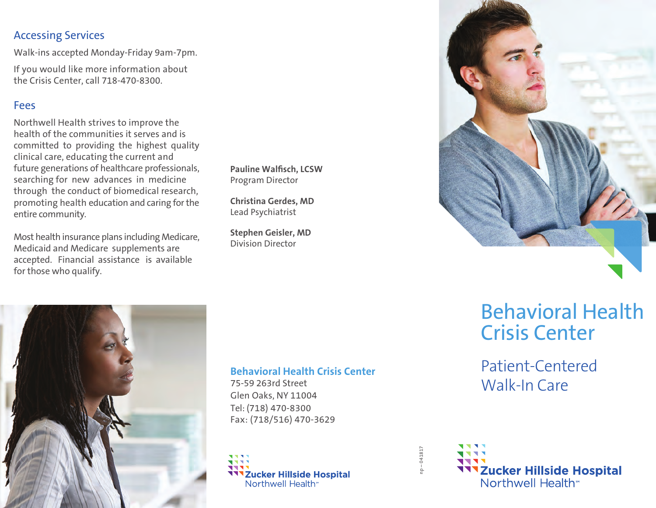## Accessing Services

Walk-ins accepted Monday-Friday 9am-7pm.

If you would like more information about the Crisis Center, call 718-470-8300.

## Fees

Northwell Health strives to improve the health of the communities it serves and is committed to providing the highest quality clinical care, educating the current and future generations of healthcare professionals, searching for new advances in medicine through the conduct of biomedical research, promoting health education and caring for the entire community.

Most health insurance plans including Medicare, Medicaid and Medicare supplements are accepted. Financial assistance is available for those who qualify.

**Pauline Walfisch, LCSW** Program Director

**Christina Gerdes, MD** Lead Psychiatrist

**Stephen Geisler, MD** Division Director





#### **Behavioral Health Crisis Center**

75-59 263rd Street Glen Oaks, NY 11004 Tel: (718) 470-8300 Fax: (718/516) 470-3629



# Behavioral Health Crisis Center

# Patient-Centered Walk-In Care



np – 041817

 $-04181$